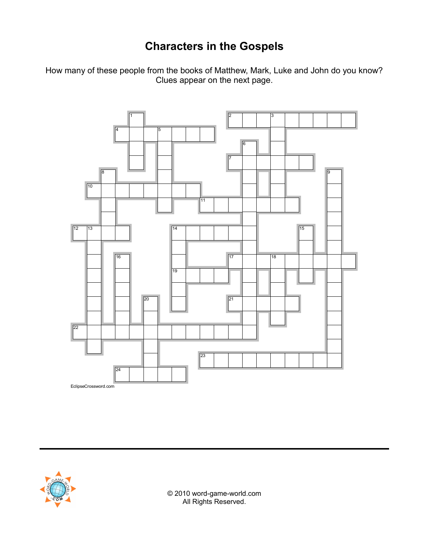## **Characters in the Gospels**

How many of these people from the books of Matthew, Mark, Luke and John do you know? Clues appear on the next page.





© 2010 word-game-world.com All Rights Reserved.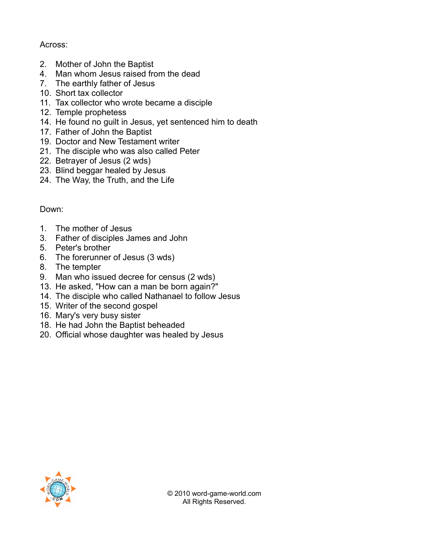## Across:

- 2. Mother of John the Baptist
- 4. Man whom Jesus raised from the dead
- 7. The earthly father of Jesus
- 10. Short tax collector
- 11. Tax collector who wrote became a disciple
- 12. Temple prophetess
- 14. He found no guilt in Jesus, yet sentenced him to death
- 17. Father of John the Baptist
- 19. Doctor and New Testament writer
- 21. The disciple who was also called Peter
- 22. Betrayer of Jesus (2 wds)
- 23. Blind beggar healed by Jesus
- 24. The Way, the Truth, and the Life

Down:

- 1. The mother of Jesus
- 3. Father of disciples James and John
- 5. Peter's brother
- 6. The forerunner of Jesus (3 wds)
- 8. The tempter
- 9. Man who issued decree for census (2 wds)
- 13. He asked, "How can a man be born again?"
- 14. The disciple who called Nathanael to follow Jesus
- 15. Writer of the second gospel
- 16. Mary's very busy sister
- 18. He had John the Baptist beheaded
- 20. Official whose daughter was healed by Jesus